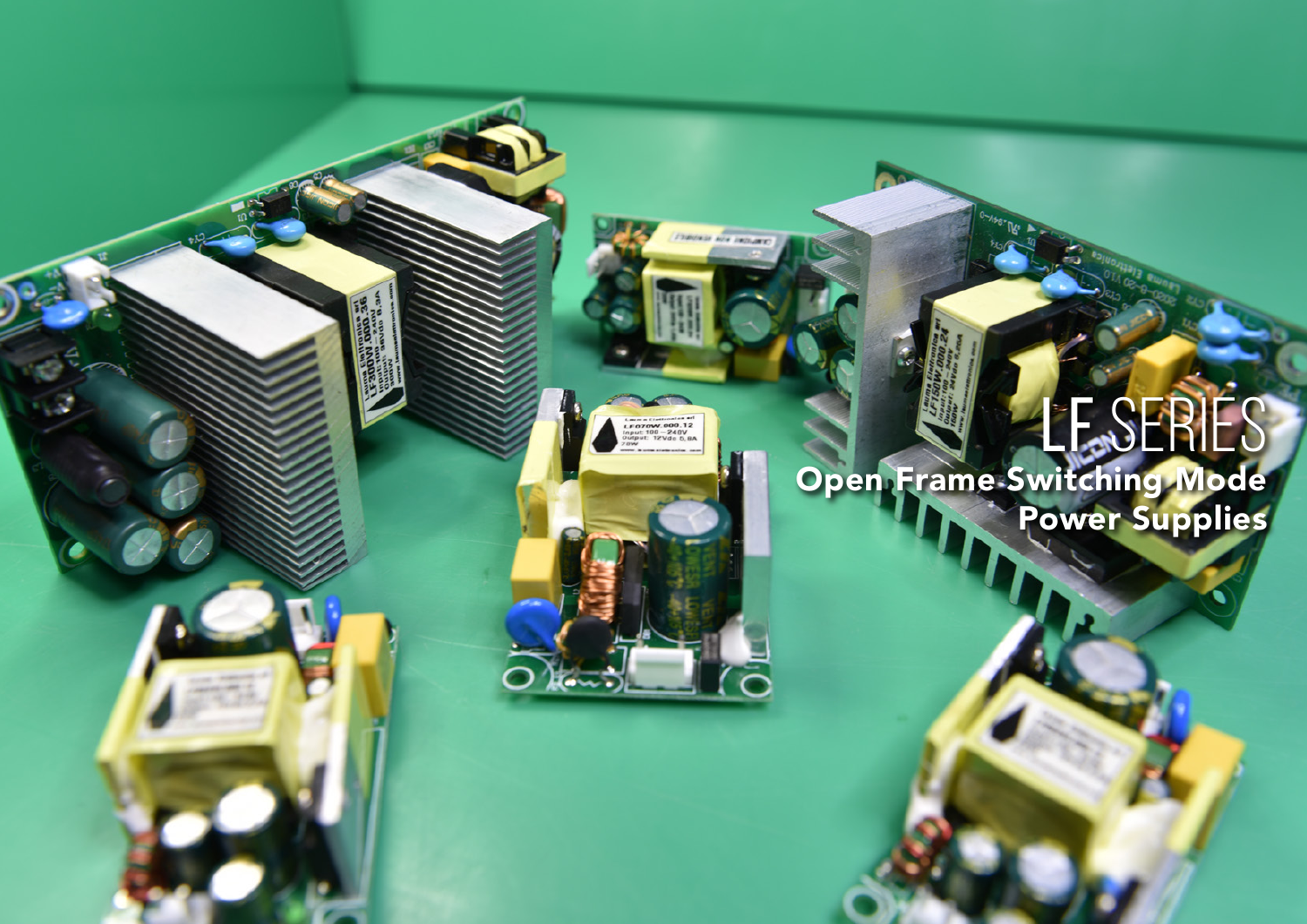

# LESERIES Open Frame Switching Mode Power Supplies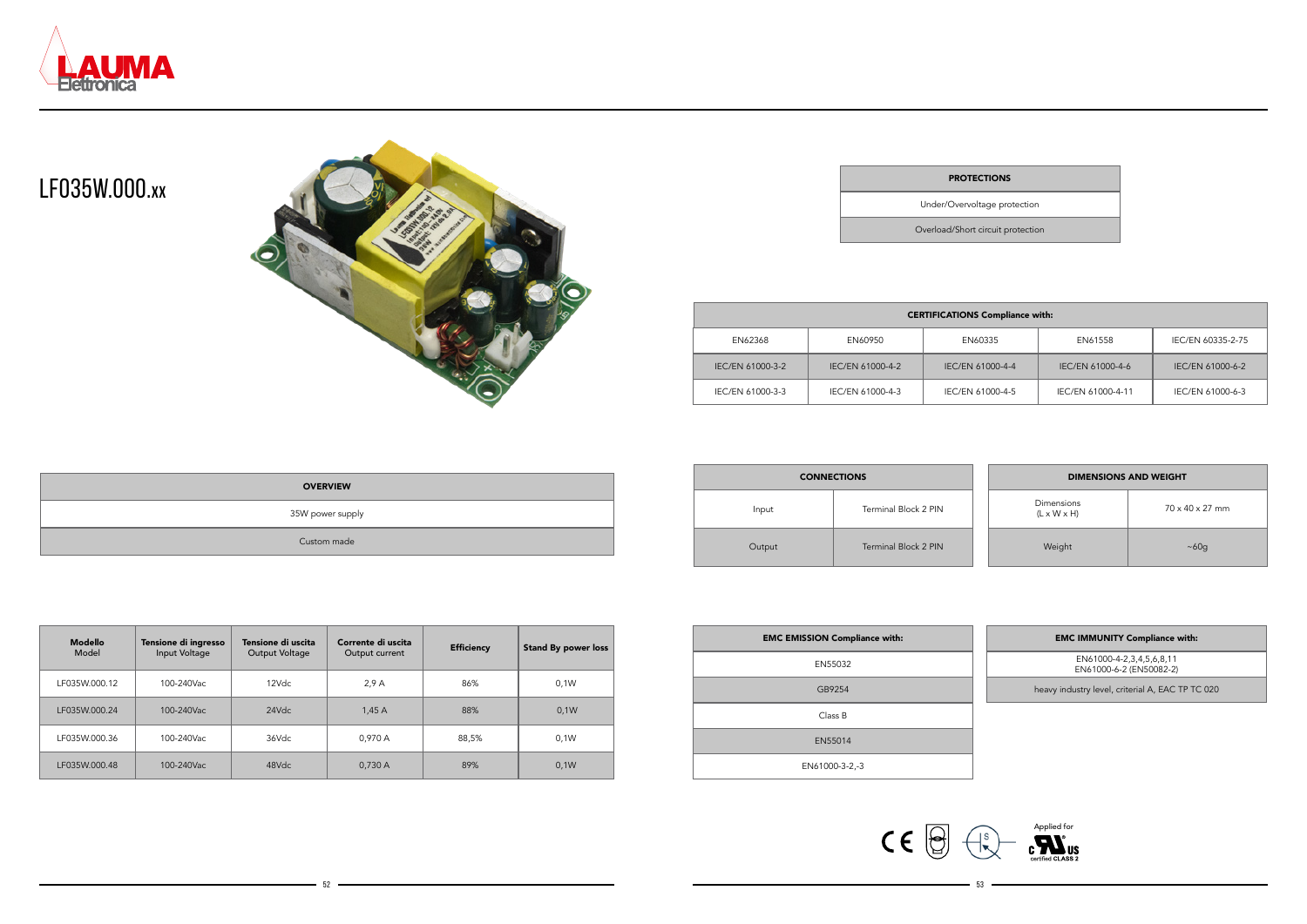



### LF035W.000.**XX**



| <b>PROTECT</b> |  |  |
|----------------|--|--|
|                |  |  |

| <b>OVERVIEW</b>  |  |
|------------------|--|
| 35W power supply |  |
| Custom made      |  |

| <b>Modello</b><br>Model | Tensione di ingresso<br>Input Voltage | Tensione di uscita<br>Output Voltage | Corrente di uscita<br>Output current | <b>Efficiency</b> | <b>Stand By power loss</b> |
|-------------------------|---------------------------------------|--------------------------------------|--------------------------------------|-------------------|----------------------------|
| LF035W.000.12           | 100-240Vac                            | 12Vdc                                | 2.9A                                 | 86%               | 0.1W                       |
| LF035W.000.24           | 100-240Vac                            | 24Vdc                                | 1,45A                                | 88%               | 0,1W                       |
| LF035W.000.36           | 100-240Vac                            | 36Vdc                                | 0.970 A                              | 88,5%             | 0.1W                       |
| LF035W.000.48           | 100-240Vac                            | 48Vdc                                | 0,730 A                              | 89%               | 0.1W                       |

#### **TIONS**

heavy industry level, criterial A, EAC TP TC 020

Under/Overvoltage protection

Overload/Short circuit protection

| <b>CERTIFICATIONS Compliance with:</b> |                  |                  |                   |                   |  |  |
|----------------------------------------|------------------|------------------|-------------------|-------------------|--|--|
| EN62368                                | EN60950          | EN60335          | EN61558           | IEC/EN 60335-2-75 |  |  |
| IEC/EN 61000-3-2                       | IEC/EN 61000-4-2 | IEC/EN 61000-4-4 | IEC/EN 61000-4-6  | IEC/EN 61000-6-2  |  |  |
| IEC/EN 61000-3-3                       | IEC/EN 61000-4-3 | IEC/EN 61000-4-5 | IEC/EN 61000-4-11 | IEC/EN 61000-6-3  |  |  |

| <b>EMC EMISSION Compliance with:</b> | <b>EMC IMMUNITY Compliance with:</b>                |
|--------------------------------------|-----------------------------------------------------|
| EN55032                              | EN61000-4-2,3,4,5,6,8,11<br>EN61000-6-2 (EN50082-2) |
| GB9254                               | heavy industry level, criterial A, EAC TP T         |
| Class B                              |                                                     |
| EN55014                              |                                                     |
| EN61000-3-2,-3                       |                                                     |

 $52$   $53$ 

| <b>CONNECTIONS</b> |                      |  | <b>DIMENSIONS AND WEIGHT</b>          |                             |
|--------------------|----------------------|--|---------------------------------------|-----------------------------|
| Input              | Terminal Block 2 PIN |  | Dimensions<br>$(L \times W \times H)$ | $70 \times 40 \times 27$ mm |
| Output             | Terminal Block 2 PIN |  | Weight                                | ~100                        |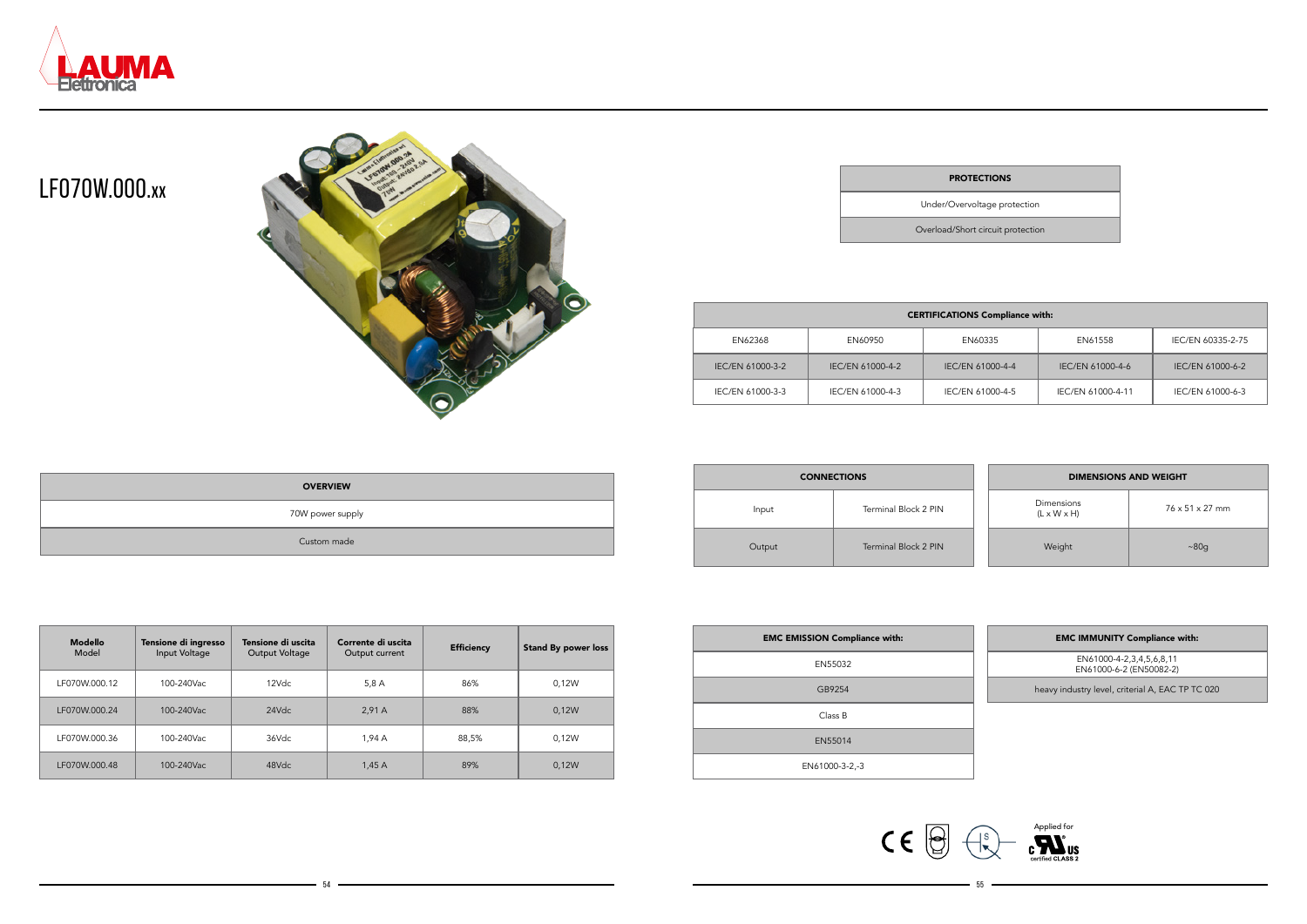



### LF070W.000.**XX**



| <b>PROTECT</b> |  |
|----------------|--|
|                |  |

| <b>OVERVIEW</b>  |  |
|------------------|--|
| 70W power supply |  |
| Custom made      |  |

Under/Overvoltage protection

Overload/Short circuit protection

| <b>CERTIFICATIONS Compliance with:</b> |                  |                  |                   |                   |  |
|----------------------------------------|------------------|------------------|-------------------|-------------------|--|
| EN62368                                | EN60950          | EN60335          | EN61558           | IEC/EN 60335-2-75 |  |
| IEC/EN 61000-3-2                       | IEC/EN 61000-4-2 | IEC/EN 61000-4-4 | IEC/EN 61000-4-6  | IEC/EN 61000-6-2  |  |
| IEC/EN 61000-3-3                       | IEC/EN 61000-4-3 | IEC/EN 61000-4-5 | IEC/EN 61000-4-11 | IEC/EN 61000-6-3  |  |

| <b>EMC EMISSION Compliance with:</b> | <b>EMC IMMUNITY Compliance with:</b>                |
|--------------------------------------|-----------------------------------------------------|
| EN55032                              | EN61000-4-2,3,4,5,6,8,11<br>EN61000-6-2 (EN50082-2) |
| GB9254                               | heavy industry level, criterial A, EAC TP T         |
| Class B                              |                                                     |
| EN55014                              |                                                     |
| EN61000-3-2,-3                       |                                                     |

54 <del>- 1955 - 1956 - 1957 - 1958 - 1958 - 1958 - 1959 - 1959 - 1959 - 1959 - 1959 - 1959 - 1959 - 1959 - 1959 - 195</del>

| <b>CONNECTIONS</b> |                      | <b>DIMENSIONS AND WEIGHT</b>          |                             |  |
|--------------------|----------------------|---------------------------------------|-----------------------------|--|
| Input              | Terminal Block 2 PIN | Dimensions<br>$(L \times W \times H)$ | $76 \times 51 \times 27$ mm |  |
| Output             | Terminal Block 2 PIN | Weight                                | ~80g                        |  |

| <b>Modello</b><br>Model | Tensione di ingresso<br>Input Voltage | Tensione di uscita<br>Output Voltage | Corrente di uscita<br>Output current | <b>Efficiency</b> | <b>Stand By power loss</b> |
|-------------------------|---------------------------------------|--------------------------------------|--------------------------------------|-------------------|----------------------------|
| LF070W.000.12           | 100-240Vac                            | 12Vdc                                | 5,8 A                                | 86%               | 0.12W                      |
| LF070W.000.24           | 100-240Vac                            | 24Vdc                                | 2.91A                                | 88%               | 0.12W                      |
| LF070W.000.36           | 100-240Vac                            | 36Vdc                                | 1.94A                                | 88,5%             | 0.12W                      |
| LF070W.000.48           | 100-240Vac                            | 48Vdc                                | 1,45A                                | 89%               | 0.12W                      |

#### TIONS

|  |  |  | <b>EMC IMMUNITY Compliance with:</b> |  |
|--|--|--|--------------------------------------|--|
|--|--|--|--------------------------------------|--|

heavy industry level, criterial A, EAC TP TC 020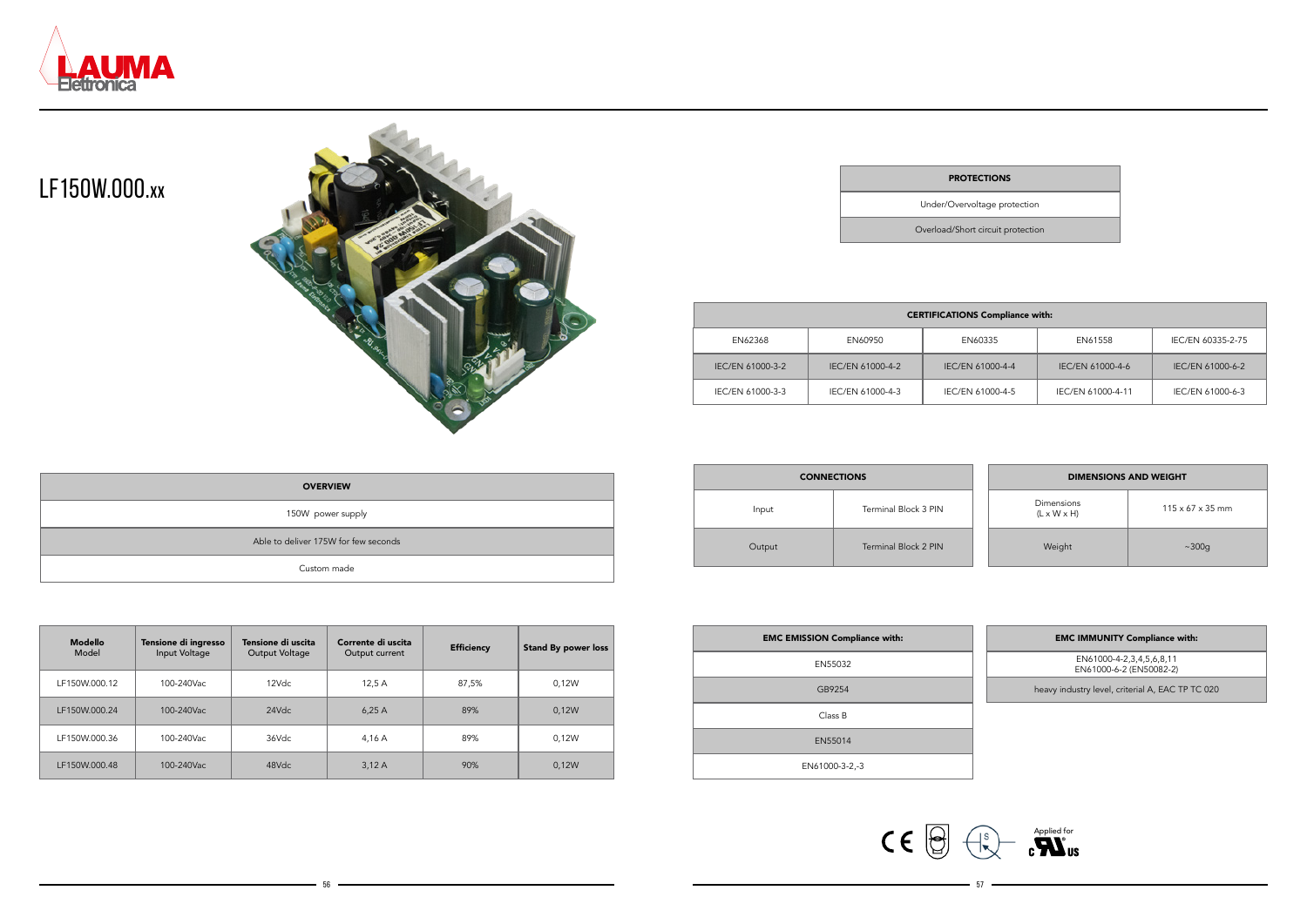



### LF150W.000.**XX**



Under/Overvoltage protection

Overload/Short circuit protection

| <b>CERTIFICATIONS Compliance with:</b> |                  |                  |                   |                   |  |
|----------------------------------------|------------------|------------------|-------------------|-------------------|--|
| EN62368                                | EN60950          | EN60335          | EN61558           | IEC/EN 60335-2-75 |  |
| IEC/EN 61000-3-2                       | IEC/EN 61000-4-2 | IEC/EN 61000-4-4 | IEC/EN 61000-4-6  | IEC/EN 61000-6-2  |  |
| IEC/EN 61000-3-3                       | IEC/EN 61000-4-3 | IEC/EN 61000-4-5 | IEC/EN 61000-4-11 | IEC/EN 61000-6-3  |  |

| <b>EMC EMISSION Compliance with:</b> | <b>EMC IMMUNITY Compliance with:</b>                |
|--------------------------------------|-----------------------------------------------------|
| EN55032                              | EN61000-4-2,3,4,5,6,8,11<br>EN61000-6-2 (EN50082-2) |
| GB9254                               | heavy industry level, criterial A, EAC TP T         |
| Class B                              |                                                     |
| EN55014                              |                                                     |
| EN61000-3-2,-3                       |                                                     |

 $\sim$  56  $\sim$  57  $\sim$  57  $\sim$  57  $\sim$  57  $\sim$  57  $\sim$  57  $\sim$  57  $\sim$  57  $\sim$  57  $\sim$  57  $\sim$  57  $\sim$  57  $\sim$  57

| <b>CONNECTIONS</b> |                      | <b>DIMENSIONS AND WEIGHT</b>          |                              |  |
|--------------------|----------------------|---------------------------------------|------------------------------|--|
| Input              | Terminal Block 3 PIN | Dimensions<br>$(L \times W \times H)$ | $115 \times 67 \times 35$ mm |  |
| Output             | Terminal Block 2 PIN | Weight                                | ~100q                        |  |

| <b>OVERVIEW</b>                      |
|--------------------------------------|
| 150W power supply                    |
| Able to deliver 175W for few seconds |
| Custom made                          |

| <b>Modello</b><br>Model | Tensione di ingresso<br>Input Voltage | Tensione di uscita<br>Output Voltage | Corrente di uscita<br>Output current | <b>Efficiency</b> | <b>Stand By power loss</b> |
|-------------------------|---------------------------------------|--------------------------------------|--------------------------------------|-------------------|----------------------------|
| LF150W.000.12           | 100-240Vac                            | 12Vdc                                | 12.5A                                | 87,5%             | 0.12W                      |
| LF150W.000.24           | 100-240Vac                            | 24Vdc                                | 6.25A                                | 89%               | 0.12W                      |
| LF150W.000.36           | 100-240Vac                            | 36Vdc                                | 4,16 A                               | 89%               | 0.12W                      |
| LF150W.000.48           | 100-240Vac                            | 48Vdc                                | 3,12A                                | 90%               | 0.12W                      |

#### **PROTECTIONS**

| <b>EMC IMMUNITY Compliance with:</b> |  |
|--------------------------------------|--|
|                                      |  |

heavy industry level, criterial A, EAC TP TC 020